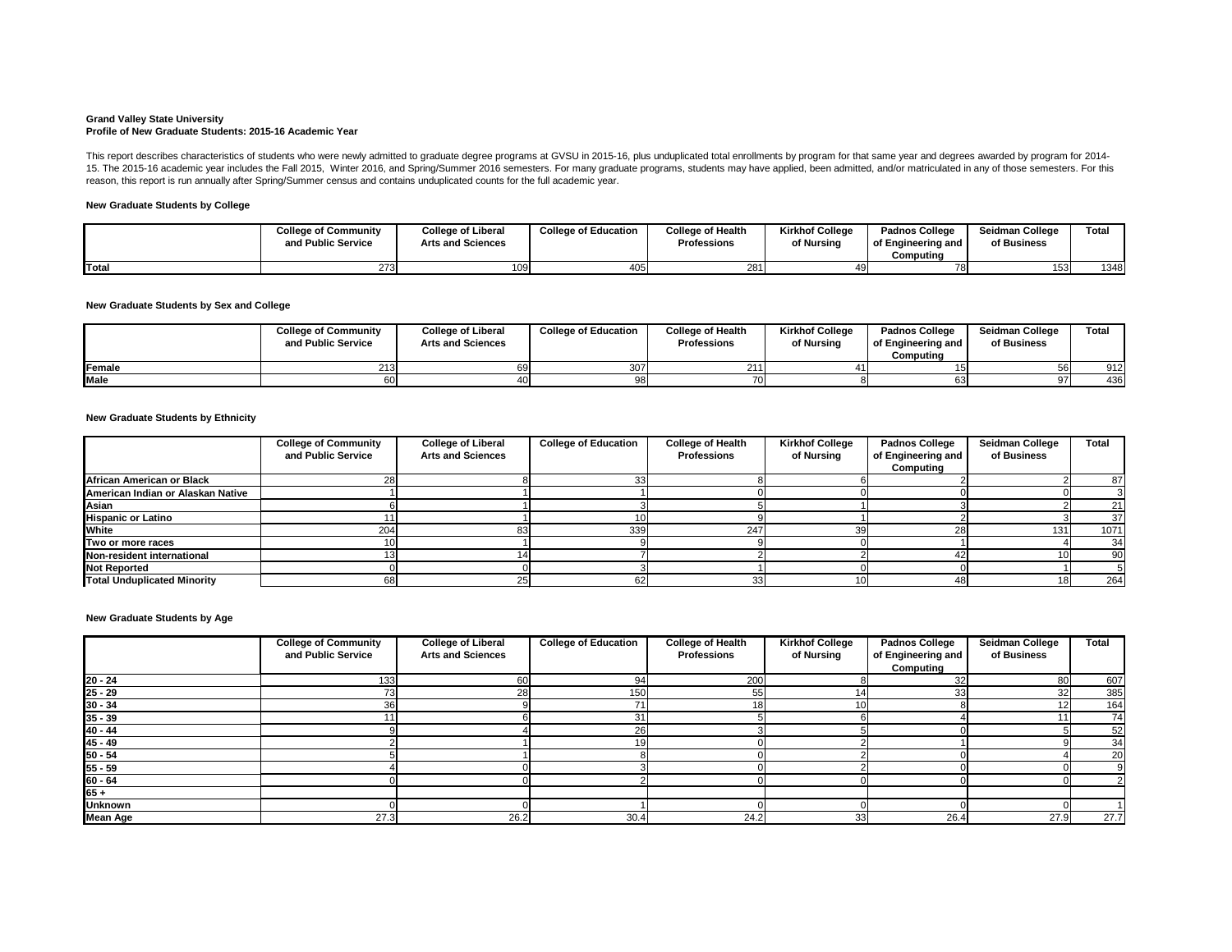#### **Grand Valley State University Profile of New Graduate Students: 2015-16 Academic Year**

## **New Graduate Students by College**

# **New Graduate Students by Sex and College**

## **New Graduate Students by Ethnicity**

|             | <b>College of Community</b><br>and Public Service | <b>College of Liberal</b><br><b>Arts and Sciences</b> | <b>College of Education</b> | <b>College of Health</b><br><b>Professions</b> | <b>Kirkhof College</b><br>of Nursing | <b>Padnos College</b><br>of Engineering and<br>Computina | <b>Seidman College</b><br>of Business | <b>Total</b> |
|-------------|---------------------------------------------------|-------------------------------------------------------|-----------------------------|------------------------------------------------|--------------------------------------|----------------------------------------------------------|---------------------------------------|--------------|
| Female      | ົາ ⊿ິຕ                                            |                                                       | 307                         |                                                |                                      |                                                          | -56l                                  | 912          |
| <b>Male</b> |                                                   |                                                       | QRI                         |                                                |                                      |                                                          | 97'                                   | 436          |

This report describes characteristics of students who were newly admitted to graduate degree programs at GVSU in 2015-16, plus unduplicated total enrollments by program for that same year and degrees awarded by program for 15. The 2015-16 academic year includes the Fall 2015, Winter 2016, and Spring/Summer 2016 semesters. For many graduate programs, students may have applied, been admitted, and/or matriculated in any of those semesters. For reason, this report is run annually after Spring/Summer census and contains unduplicated counts for the full academic year.

### **New Graduate Students by Age**

|              | <b>College of Community</b><br>and Public Service | <b>College of Liberal</b><br><b>Arts and Sciences</b> | <b>College of Education</b> | <b>College of Health</b><br><b>Professions</b> | <b>Kirkhof College</b><br>of Nursing | <b>Padnos College</b><br>of Engineering and<br>Computing | <b>Seidman College</b><br>of Business | Total |
|--------------|---------------------------------------------------|-------------------------------------------------------|-----------------------------|------------------------------------------------|--------------------------------------|----------------------------------------------------------|---------------------------------------|-------|
| <b>Total</b> |                                                   | 109                                                   | 405                         | 281                                            |                                      |                                                          | 153                                   | 1348  |

|                                    | <b>College of Community</b><br>and Public Service | <b>College of Liberal</b><br><b>Arts and Sciences</b> | <b>College of Education</b> | <b>College of Health</b><br><b>Professions</b> | <b>Kirkhof College</b><br>of Nursing | <b>Padnos College</b><br>of Engineering and<br>Computing | <b>Seidman College</b><br>of Business | <b>Total</b> |
|------------------------------------|---------------------------------------------------|-------------------------------------------------------|-----------------------------|------------------------------------------------|--------------------------------------|----------------------------------------------------------|---------------------------------------|--------------|
| African American or Black          |                                                   |                                                       |                             |                                                |                                      |                                                          |                                       | 87           |
| American Indian or Alaskan Native  |                                                   |                                                       |                             |                                                |                                      |                                                          |                                       |              |
| Asian                              |                                                   |                                                       |                             |                                                |                                      |                                                          |                                       | 21           |
| <b>Hispanic or Latino</b>          |                                                   |                                                       |                             |                                                |                                      |                                                          |                                       | 37           |
| <b>White</b>                       | 204                                               |                                                       | 339                         | 247                                            | 39                                   |                                                          | 131                                   | 1071         |
| Two or more races                  |                                                   |                                                       |                             |                                                |                                      |                                                          |                                       | 34           |
| Non-resident international         |                                                   |                                                       |                             |                                                |                                      |                                                          |                                       | 90           |
| <b>Not Reported</b>                |                                                   |                                                       |                             |                                                |                                      |                                                          |                                       |              |
| <b>Total Unduplicated Minority</b> |                                                   |                                                       | 62                          |                                                | 10I                                  |                                                          | 18                                    | 264          |

|                 | <b>College of Community</b><br>and Public Service | <b>College of Liberal</b><br><b>Arts and Sciences</b> | <b>College of Education</b> | <b>College of Health</b><br><b>Professions</b> | <b>Kirkhof College</b><br>of Nursing | <b>Padnos College</b><br>of Engineering and | <b>Seidman College</b><br>of Business | <b>Total</b> |
|-----------------|---------------------------------------------------|-------------------------------------------------------|-----------------------------|------------------------------------------------|--------------------------------------|---------------------------------------------|---------------------------------------|--------------|
|                 |                                                   |                                                       |                             |                                                |                                      | Computing                                   |                                       |              |
| $20 - 24$       | 133                                               | 60                                                    | 94                          | 200                                            |                                      |                                             | 80                                    | 607          |
| $25 - 29$       |                                                   | 28                                                    | 150 <sub>1</sub>            | 55                                             |                                      |                                             | 32                                    | 385          |
| $30 - 34$       | 36                                                |                                                       | 71 <sub>1</sub>             | 18 <sub>1</sub>                                | 10                                   |                                             | 12                                    | 164          |
| $35 - 39$       |                                                   |                                                       | 31                          |                                                |                                      |                                             |                                       | 74           |
| $40 - 44$       |                                                   |                                                       | 26                          |                                                |                                      |                                             |                                       | 52           |
| $45 - 49$       |                                                   |                                                       | 19                          |                                                |                                      |                                             |                                       | 34           |
| $50 - 54$       |                                                   |                                                       |                             |                                                |                                      |                                             |                                       | 20           |
| $55 - 59$       |                                                   |                                                       |                             |                                                |                                      |                                             |                                       |              |
| $60 - 64$       |                                                   |                                                       |                             |                                                |                                      |                                             |                                       |              |
| $65 +$          |                                                   |                                                       |                             |                                                |                                      |                                             |                                       |              |
| <b>Unknown</b>  |                                                   |                                                       |                             |                                                |                                      |                                             |                                       |              |
| <b>Mean Age</b> | 27.3                                              | 26.2                                                  | 30.4                        | 24.2                                           | 33                                   | 26.4                                        | 27.9                                  | 27.7         |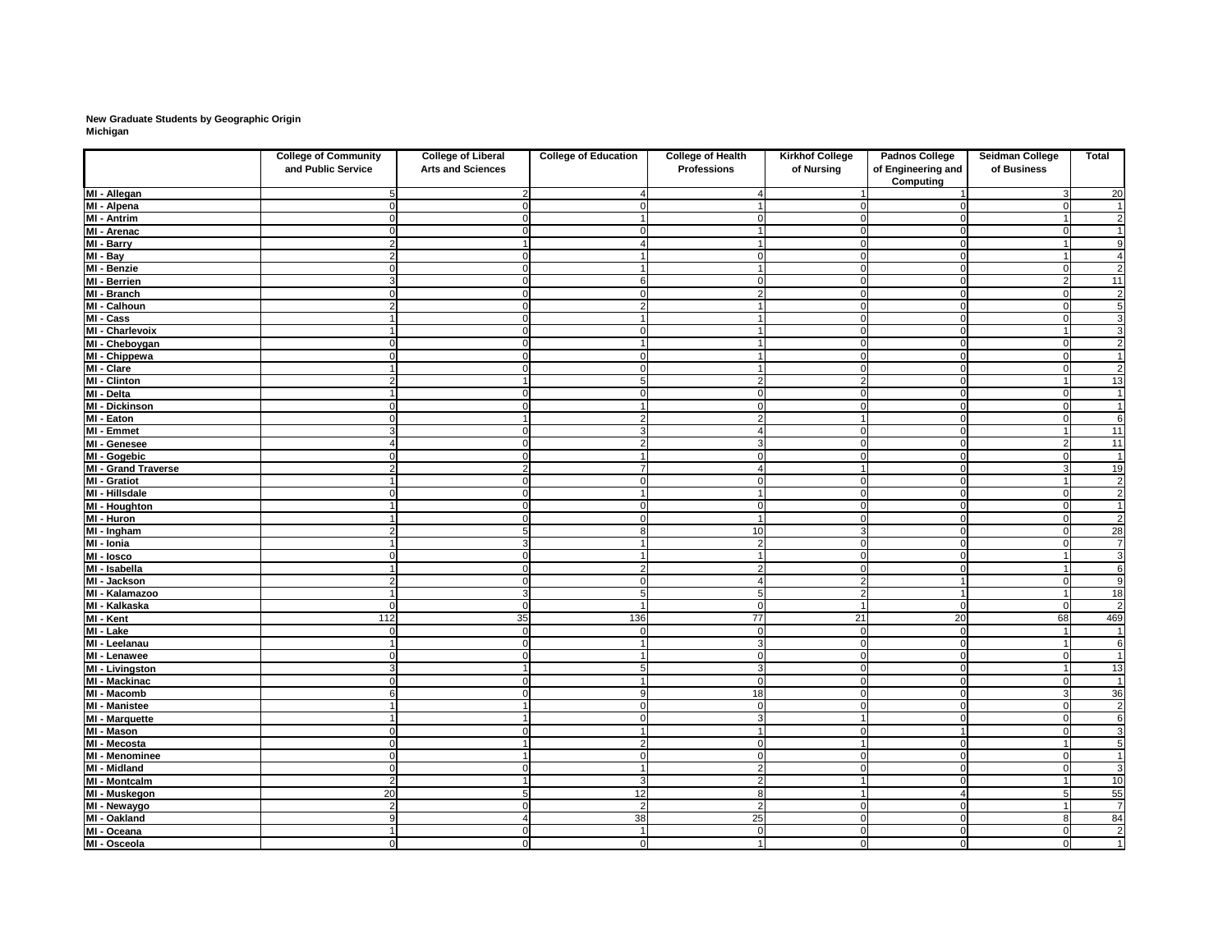# **New Graduate Students by Geographic Origin Michigan**

|                                       | <b>College of Community</b><br>and Public Service | <b>College of Liberal</b><br><b>Arts and Sciences</b> | <b>College of Education</b> | <b>College of Health</b><br><b>Professions</b> | <b>Kirkhof College</b><br>of Nursing | <b>Padnos College</b><br>of Engineering and<br><b>Computing</b> | <b>Seidman College</b><br>of Business | <b>Total</b>                      |
|---------------------------------------|---------------------------------------------------|-------------------------------------------------------|-----------------------------|------------------------------------------------|--------------------------------------|-----------------------------------------------------------------|---------------------------------------|-----------------------------------|
| MI - Allegan                          |                                                   |                                                       |                             |                                                |                                      |                                                                 | 3                                     | 20                                |
| MI - Alpena                           |                                                   |                                                       |                             |                                                |                                      |                                                                 |                                       | $\mathbf{1}$                      |
| <b>MI</b> - Antrim                    |                                                   |                                                       |                             |                                                |                                      |                                                                 |                                       | $\overline{2}$                    |
| MI - Arenac                           |                                                   |                                                       |                             |                                                |                                      |                                                                 | ∩                                     | $\overline{1}$                    |
| MI - Barry                            |                                                   |                                                       |                             |                                                |                                      |                                                                 |                                       | $\overline{9}$                    |
| $\overline{M}$ - Bay                  |                                                   |                                                       |                             |                                                | $\Omega$                             |                                                                 |                                       | 4                                 |
| MI - Benzie                           |                                                   |                                                       |                             |                                                |                                      |                                                                 | $\Omega$                              | $\overline{2}$                    |
| MI - Berrien                          |                                                   |                                                       | 6                           |                                                | O                                    |                                                                 | $\overline{2}$                        | 11                                |
| MI - Branch                           |                                                   |                                                       | ∩                           |                                                | O                                    |                                                                 | $\mathbf 0$                           | $\overline{2}$                    |
| MI - Calhoun                          |                                                   |                                                       | 2                           |                                                |                                      |                                                                 | $\Omega$                              | $\overline{5}$                    |
| $\overline{M}$ l - Cass               |                                                   |                                                       |                             |                                                |                                      |                                                                 | ∩                                     | $\overline{3}$                    |
| MI - Charlevoix                       |                                                   |                                                       | O                           |                                                | $\Omega$                             |                                                                 |                                       | $\overline{3}$                    |
| MI - Cheboygan                        |                                                   |                                                       |                             |                                                | $\Omega$                             |                                                                 | $\Omega$                              | $\overline{2}$                    |
| MI - Chippewa                         |                                                   |                                                       |                             |                                                |                                      |                                                                 | $\Omega$                              | $\overline{1}$                    |
| MI - Clare                            |                                                   |                                                       |                             |                                                |                                      |                                                                 |                                       | $\overline{2}$                    |
| <b>MI - Clinton</b>                   |                                                   |                                                       | 5                           |                                                |                                      |                                                                 |                                       | 13                                |
| MI - Delta                            |                                                   |                                                       |                             |                                                |                                      |                                                                 | $\Omega$                              | $\overline{1}$                    |
| <b>MI - Dickinson</b>                 |                                                   |                                                       |                             |                                                |                                      |                                                                 | $\Omega$                              | $\overline{1}$                    |
| MI - Eaton                            |                                                   |                                                       | $\overline{2}$              |                                                |                                      |                                                                 | $\Omega$                              | $\overline{6}$                    |
| <b>MI - Emmet</b>                     | 3                                                 | ∩                                                     | 3                           |                                                | 0                                    |                                                                 | $\overline{1}$                        | 11                                |
| MI - Genesee                          |                                                   | ∩                                                     | 2 <sup>1</sup>              | 3                                              | $\Omega$                             |                                                                 | $\overline{2}$                        | $\overline{11}$                   |
| MI - Gogebic                          |                                                   | ∩                                                     | -1                          | $\Omega$                                       | $\Omega$                             |                                                                 | $\mathbf 0$                           | $\overline{1}$                    |
| <b>MI - Grand Traverse</b>            |                                                   |                                                       | $\overline{7}$              |                                                |                                      |                                                                 | $\mathbf{3}$                          | $\overline{19}$                   |
| <b>MI - Gratiot</b>                   |                                                   | ∩                                                     | $\Omega$                    | $\Omega$                                       | 0                                    |                                                                 | $\overline{1}$                        | $\overline{2}$                    |
| MI - Hillsdale                        |                                                   | ∩                                                     | $\blacktriangleleft$        |                                                | $\overline{0}$                       |                                                                 | $\mathbf 0$                           | $\overline{2}$                    |
| MI - Houghton                         |                                                   | n                                                     | $\Omega$                    | $\Omega$                                       | 0                                    |                                                                 | $\mathbf 0$                           | $\overline{1}$                    |
| <b>MI - Huron</b>                     |                                                   | ∩                                                     | $\Omega$                    |                                                | 0                                    |                                                                 | $\mathbf 0$                           | $\overline{2}$                    |
| MI - Ingham                           | ີ                                                 |                                                       | 8                           | 10                                             | $\mathbf{3}$                         |                                                                 | $\overline{0}$                        |                                   |
| $\overline{M}$ - Ionia                |                                                   |                                                       | $\overline{\mathbf{1}}$     | $\overline{2}$                                 | $\Omega$                             |                                                                 | $\Omega$                              | $\frac{28}{7}$                    |
| MI - losco                            |                                                   | ∩                                                     | 1                           |                                                | $\overline{0}$                       |                                                                 |                                       | $\overline{\overline{3}}$         |
| MI - Isabella                         |                                                   |                                                       | 2 <sub>l</sub>              |                                                | 0                                    |                                                                 |                                       | $\overline{6}$                    |
| MI - Jackson                          | 2                                                 | 0                                                     |                             |                                                |                                      |                                                                 |                                       | 9                                 |
| MI - Kalamazoo                        |                                                   |                                                       | 5 <sub>1</sub>              | 5                                              | $\mathbf{2}$                         |                                                                 | $\vert$ 1                             | 18                                |
| MI - Kalkaska                         |                                                   | 0l                                                    | $\blacktriangleleft$        | $\overline{0}$                                 |                                      |                                                                 | $\mathbf 0$                           | $\overline{2}$                    |
| MI - Kent                             | 112                                               | 35                                                    | 136                         | $\overline{77}$                                | 21                                   | 20                                                              | 68                                    | 469                               |
| MI - Lake                             | $\cap$                                            | $\Omega$                                              | $\mathbf 0$                 | $\overline{0}$                                 | $\Omega$                             | $\Omega$                                                        | $\overline{1}$                        | $\overline{1}$                    |
| MI - Leelanau                         |                                                   | ∩                                                     | $\overline{1}$              | 3                                              | $\Omega$                             |                                                                 | $\overline{1}$                        | $\overline{6}$                    |
| MI - Lenawee                          | ∩                                                 | ∩                                                     | $\blacktriangleleft$        | $\Omega$                                       | $\overline{0}$                       |                                                                 | $\Omega$                              | $\overline{1}$                    |
| <b>MI</b> - Livingston                | 3                                                 |                                                       | 5 <sub>1</sub>              | 3                                              | 0                                    |                                                                 |                                       | $\overline{13}$                   |
| <b>MI - Mackinac</b>                  |                                                   |                                                       | 1                           | $\Omega$                                       | 0                                    |                                                                 | 0                                     | $\overline{1}$                    |
| MI - Macomb                           | 6                                                 | ∩                                                     | 9                           | 18                                             | $\overline{0}$                       |                                                                 | $\mathbf{3}$                          | 36                                |
| <b>MI - Manistee</b>                  |                                                   |                                                       | $\overline{0}$              | $\overline{0}$                                 | 0                                    |                                                                 | $\mathbf 0$                           | $\overline{2}$                    |
| <b>MI - Marquette</b>                 |                                                   |                                                       | $\Omega$                    | 3                                              |                                      |                                                                 | $\mathbf 0$                           | $\overline{6}$                    |
| MI - Mason                            | ∩                                                 | ſ                                                     | $\overline{1}$              |                                                | $\Omega$                             |                                                                 | $\overline{0}$                        | $\overline{3}$                    |
| MI - Mecosta                          | ∩                                                 |                                                       | 2                           | $\Omega$                                       |                                      |                                                                 | $\overline{1}$                        | 5                                 |
|                                       | ∩                                                 |                                                       | $\Omega$                    | $\Omega$                                       |                                      |                                                                 | $\Omega$                              | $\blacktriangleleft$              |
| MI - Menominee<br><b>MI - Midland</b> | $\Omega$                                          |                                                       | $\blacktriangleleft$        | $\overline{2}$                                 | 0                                    |                                                                 | $\Omega$                              | $\overline{3}$                    |
| <b>MI - Montcalm</b>                  |                                                   |                                                       |                             |                                                | $\overline{0}$                       |                                                                 |                                       |                                   |
|                                       | $\overline{2}$                                    |                                                       | 3 <sup>l</sup>              | $\overline{2}$<br>8                            |                                      |                                                                 |                                       | 10                                |
| MI - Muskegon                         | 20<br>$\overline{2}$                              |                                                       | 12<br>$\overline{2}$        | $\overline{2}$                                 |                                      |                                                                 | 5                                     | $\overline{55}$<br>$\overline{7}$ |
| MI - Newaygo                          | 9                                                 |                                                       |                             |                                                | 0I                                   |                                                                 |                                       |                                   |
| MI - Oakland<br>MI - Oceana           |                                                   | ∩                                                     | 38<br>$\mathbf 1$           | 25<br>$\overline{0}$                           | $\Omega$                             |                                                                 | 8 <sup>1</sup><br>$\mathbf 0$         | 84<br>$\overline{2}$              |
|                                       | $\mathbf 0$                                       |                                                       | $\mathbf 0$                 |                                                | $\Omega$                             | $\Omega$                                                        |                                       | $\overline{1}$                    |
| MI - Osceola                          |                                                   | $\overline{0}$                                        |                             |                                                | $\overline{0}$                       |                                                                 | $\overline{0}$                        |                                   |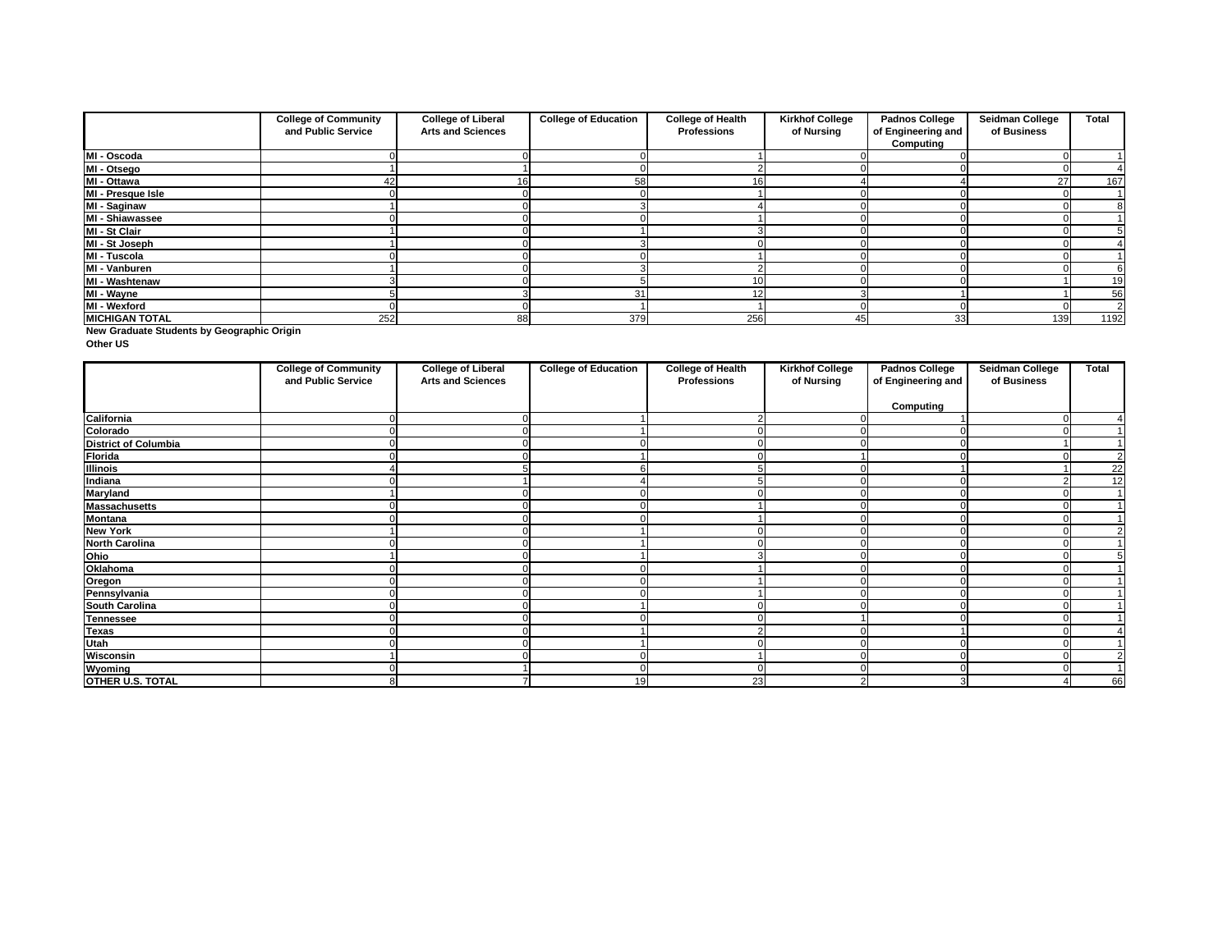**New Graduate Students by Geographic Origin**

**Other US**

|                       | <b>College of Community</b> | <b>College of Liberal</b> | <b>College of Education</b> | <b>College of Health</b> | <b>Kirkhof College</b> | <b>Padnos College</b> | <b>Seidman College</b> | <b>Total</b> |
|-----------------------|-----------------------------|---------------------------|-----------------------------|--------------------------|------------------------|-----------------------|------------------------|--------------|
|                       | and Public Service          | <b>Arts and Sciences</b>  |                             | <b>Professions</b>       | of Nursing             | of Engineering and    | of Business            |              |
|                       |                             |                           |                             |                          |                        | <b>Computing</b>      |                        |              |
| MI - Oscoda           |                             |                           |                             |                          |                        |                       |                        |              |
| MI - Otsego           |                             |                           |                             |                          |                        |                       |                        |              |
| MI - Ottawa           |                             | 16                        | 58                          | 16.                      |                        |                       | 27                     | 167          |
| MI - Presque Isle     |                             |                           |                             |                          |                        |                       |                        |              |
| MI - Saginaw          |                             |                           |                             |                          |                        |                       |                        |              |
| MI - Shiawassee       |                             |                           |                             |                          |                        |                       |                        |              |
| MI - St Clair         |                             |                           |                             |                          |                        |                       |                        |              |
| MI - St Joseph        |                             |                           |                             |                          |                        |                       |                        |              |
| MI - Tuscola          |                             |                           |                             |                          |                        |                       |                        |              |
| MI - Vanburen         |                             |                           |                             |                          |                        |                       |                        |              |
| MI - Washtenaw        |                             |                           |                             |                          |                        |                       |                        | 19           |
| MI - Wayne            |                             |                           | 31                          |                          |                        |                       |                        | 56           |
| MI - Wexford          |                             |                           |                             |                          |                        |                       |                        |              |
| <b>MICHIGAN TOTAL</b> | 252                         | 88                        | 379                         | 256                      | 45I                    | 33                    | 139                    | 1192         |

|                             | <b>College of Community</b><br>and Public Service | <b>College of Liberal</b><br><b>Arts and Sciences</b> | <b>College of Education</b> | <b>College of Health</b><br><b>Professions</b> | <b>Kirkhof College</b><br>of Nursing | <b>Padnos College</b><br>of Engineering and | <b>Seidman College</b><br>of Business | <b>Total</b>    |
|-----------------------------|---------------------------------------------------|-------------------------------------------------------|-----------------------------|------------------------------------------------|--------------------------------------|---------------------------------------------|---------------------------------------|-----------------|
|                             |                                                   |                                                       |                             |                                                |                                      | <b>Computing</b>                            |                                       |                 |
|                             |                                                   |                                                       |                             |                                                |                                      |                                             |                                       |                 |
| California<br>Colorado      |                                                   |                                                       |                             |                                                |                                      |                                             |                                       |                 |
| <b>District of Columbia</b> |                                                   |                                                       |                             |                                                |                                      |                                             |                                       |                 |
| <b>Florida</b>              |                                                   |                                                       |                             |                                                |                                      |                                             |                                       | 2               |
| <b>Illinois</b>             |                                                   |                                                       |                             |                                                |                                      |                                             |                                       | $\overline{22}$ |
| Indiana                     |                                                   |                                                       |                             |                                                |                                      |                                             |                                       | $\overline{12}$ |
| <b>Maryland</b>             |                                                   |                                                       |                             |                                                |                                      |                                             |                                       |                 |
| <b>Massachusetts</b>        |                                                   |                                                       |                             |                                                |                                      |                                             |                                       |                 |
| <b>Montana</b>              |                                                   |                                                       |                             |                                                |                                      |                                             |                                       |                 |
| <b>New York</b>             |                                                   |                                                       |                             |                                                |                                      |                                             |                                       |                 |
| <b>North Carolina</b>       |                                                   |                                                       |                             |                                                |                                      |                                             |                                       |                 |
| Ohio                        |                                                   |                                                       |                             |                                                |                                      |                                             |                                       |                 |
| Oklahoma                    |                                                   |                                                       |                             |                                                |                                      |                                             |                                       |                 |
| Oregon                      |                                                   |                                                       |                             |                                                |                                      |                                             |                                       |                 |
| Pennsylvania                |                                                   |                                                       |                             |                                                |                                      |                                             |                                       |                 |
| <b>South Carolina</b>       |                                                   |                                                       |                             |                                                |                                      |                                             |                                       |                 |
| <b>Tennessee</b>            |                                                   |                                                       |                             |                                                |                                      |                                             |                                       |                 |
| <b>Texas</b>                |                                                   |                                                       |                             |                                                |                                      |                                             |                                       |                 |
| Utah                        |                                                   |                                                       |                             |                                                |                                      |                                             |                                       |                 |
| Wisconsin                   |                                                   |                                                       |                             |                                                |                                      |                                             |                                       |                 |
| Wyoming                     |                                                   |                                                       |                             |                                                |                                      |                                             |                                       |                 |
| OTHER U.S. TOTAL            |                                                   |                                                       | 19                          | 23                                             |                                      |                                             |                                       | 66              |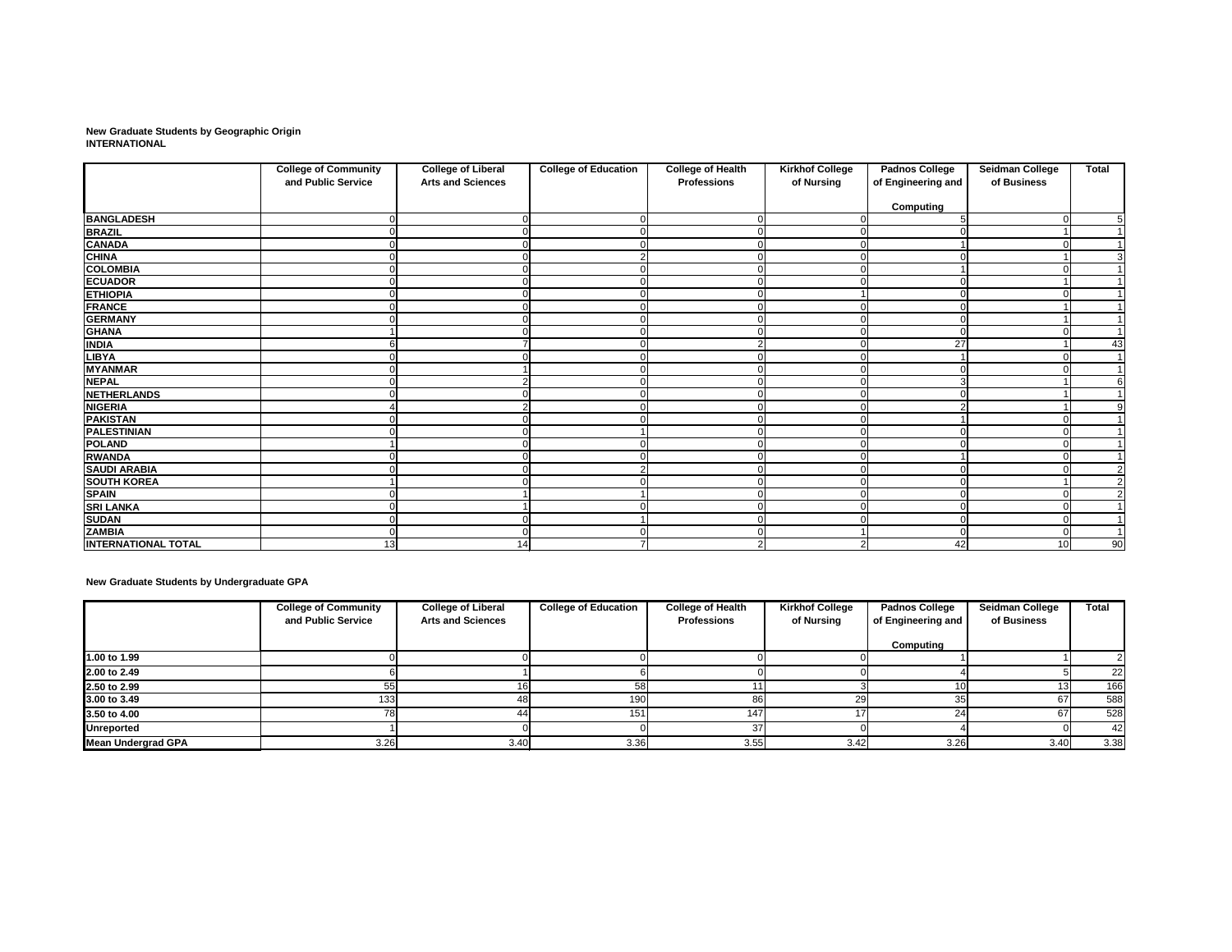**New Graduate Students by Geographic Origin INTERNATIONAL**

|                            | <b>College of Community</b> | <b>College of Liberal</b> | <b>College of Education</b> | <b>College of Health</b> | <b>Kirkhof College</b> | <b>Padnos College</b> | <b>Seidman College</b> | <b>Total</b>   |
|----------------------------|-----------------------------|---------------------------|-----------------------------|--------------------------|------------------------|-----------------------|------------------------|----------------|
|                            | and Public Service          | <b>Arts and Sciences</b>  |                             | <b>Professions</b>       | of Nursing             | of Engineering and    | of Business            |                |
|                            |                             |                           |                             |                          |                        | <b>Computing</b>      |                        |                |
| <b>BANGLADESH</b>          |                             |                           | U                           |                          |                        |                       | $\Omega$               | 5              |
| <b>BRAZIL</b>              | ∩                           |                           | ∩                           | $\cap$                   |                        |                       |                        |                |
| <b>CANADA</b>              |                             |                           |                             |                          |                        |                       |                        |                |
| <b>CHINA</b>               |                             |                           | 2                           |                          |                        |                       |                        | 3              |
| <b>COLOMBIA</b>            |                             |                           |                             |                          |                        |                       |                        |                |
| <b>ECUADOR</b>             |                             |                           |                             |                          |                        |                       |                        |                |
| <b>ETHIOPIA</b>            |                             |                           | ∩                           |                          |                        |                       |                        |                |
| <b>FRANCE</b>              |                             |                           |                             |                          |                        |                       |                        |                |
| <b>GERMANY</b>             |                             |                           |                             |                          |                        |                       |                        |                |
| <b>GHANA</b>               |                             |                           |                             |                          |                        |                       |                        |                |
| <b>INDIA</b>               |                             |                           |                             |                          |                        | 27                    |                        | 43             |
| <b>LIBYA</b>               |                             |                           |                             |                          |                        |                       |                        | $\overline{1}$ |
| <b>MYANMAR</b>             |                             |                           |                             |                          | $\Omega$               |                       |                        |                |
| <b>NEPAL</b>               |                             |                           |                             |                          | $\Omega$               |                       |                        | 6              |
| NETHERLANDS                |                             |                           |                             |                          | $\Omega$               |                       |                        |                |
| <b>NIGERIA</b>             |                             |                           |                             |                          | 0                      |                       |                        | 9              |
| <b>PAKISTAN</b>            |                             |                           |                             |                          |                        |                       |                        |                |
| <b>PALESTINIAN</b>         |                             |                           |                             |                          |                        |                       |                        |                |
| <b>POLAND</b>              |                             |                           |                             |                          | $\Omega$               |                       |                        |                |
| <b>RWANDA</b>              |                             |                           |                             |                          | $\Omega$               |                       |                        |                |
| <b>SAUDI ARABIA</b>        |                             |                           | $\overline{2}$              |                          |                        |                       |                        | $\overline{2}$ |
| <b>SOUTH KOREA</b>         |                             |                           |                             |                          |                        |                       |                        | $\overline{2}$ |
| <b>SPAIN</b>               |                             |                           |                             |                          |                        |                       |                        | $\overline{2}$ |
| <b>SRI LANKA</b>           |                             |                           |                             |                          |                        |                       |                        | -1             |
| <b>SUDAN</b>               |                             |                           |                             |                          | ∩                      |                       | - 0                    | -1             |
| <b>ZAMBIA</b>              |                             |                           |                             |                          |                        |                       |                        |                |
| <b>INTERNATIONAL TOTAL</b> | 13                          | 14                        |                             |                          |                        | 42                    | 10                     | 90             |

**New Graduate Students by Undergraduate GPA**

|                           | <b>College of Community</b> | <b>College of Liberal</b> | <b>College of Education</b> | <b>College of Health</b> | <b>Kirkhof College</b> | <b>Padnos College</b> | <b>Seidman College</b> | <b>Total</b> |
|---------------------------|-----------------------------|---------------------------|-----------------------------|--------------------------|------------------------|-----------------------|------------------------|--------------|
|                           | and Public Service          | <b>Arts and Sciences</b>  |                             | <b>Professions</b>       | of Nursing             | of Engineering and    | of Business            |              |
|                           |                             |                           |                             |                          |                        | Computing             |                        |              |
| 1.00 to 1.99              |                             |                           |                             |                          |                        |                       |                        |              |
| 2.00 to 2.49              |                             |                           |                             |                          |                        |                       |                        | 22           |
| 2.50 to 2.99              |                             |                           |                             |                          |                        |                       |                        | 166          |
| 3.00 to 3.49              | $1331$                      | 48                        | 190                         | 86                       | 29                     |                       |                        | 588          |
| 3.50 to 4.00              |                             |                           | 151                         | 147                      |                        |                       | 67                     | 528          |
| <b>Unreported</b>         |                             |                           |                             | 37                       |                        |                       |                        | 42           |
| <b>Mean Undergrad GPA</b> | 3.26                        | 3.40                      | 3.36                        | 3.55                     | 3.42                   | 3.26                  | 3.40                   | 3.38         |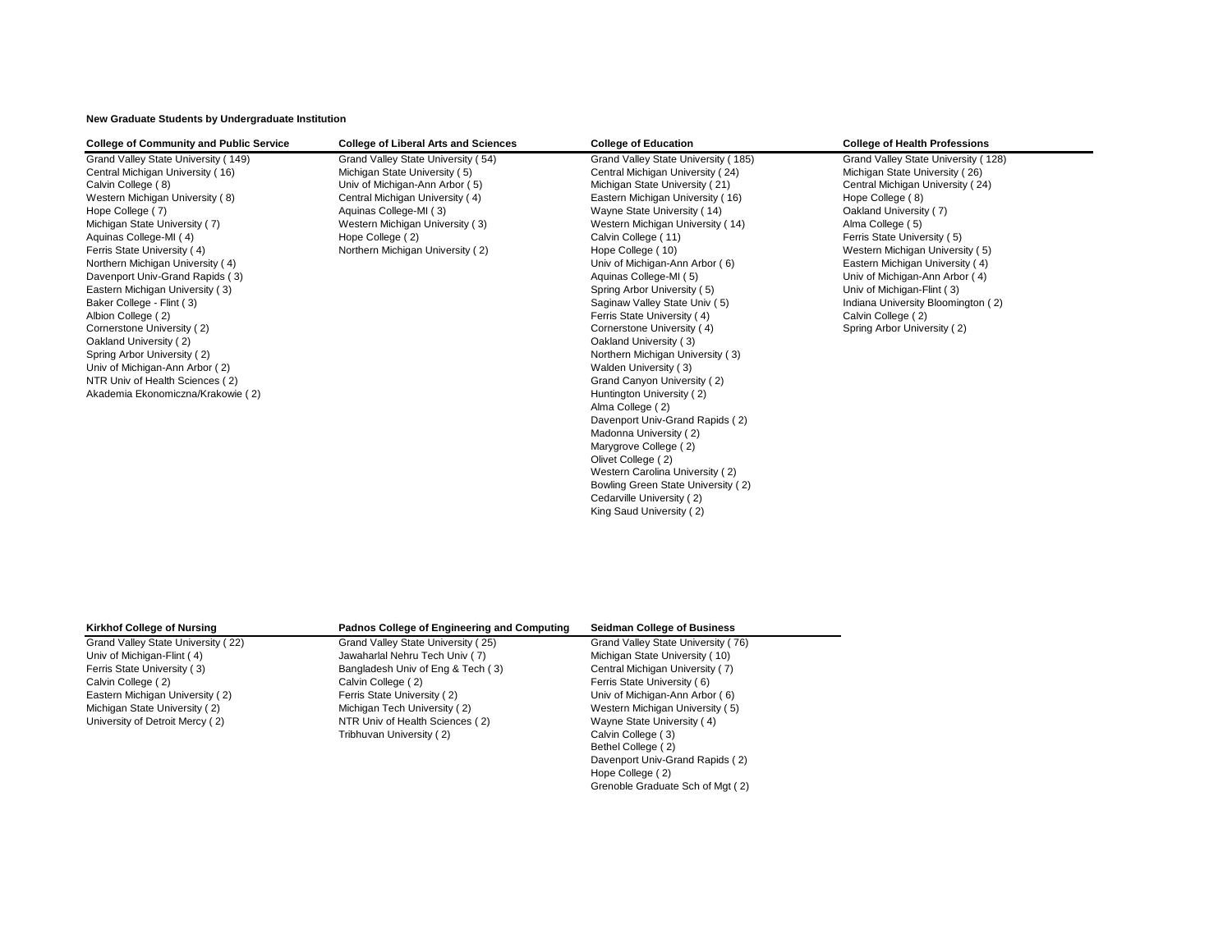**New Graduate Students by Undergraduate Institution**

| <b>College of Community and Public Service</b> | <b>College of Liberal Arts and Sciences</b> | <b>College of Education</b>         | <b>College of Health Professions</b> |
|------------------------------------------------|---------------------------------------------|-------------------------------------|--------------------------------------|
| Grand Valley State University (149)            | Grand Valley State University (54)          | Grand Valley State University (185) | Grand Valley State University (128)  |
| Central Michigan University (16)               | Michigan State University (5)               | Central Michigan University (24)    | Michigan State University (26)       |
| Calvin College (8)                             | Univ of Michigan-Ann Arbor (5)              | Michigan State University (21)      | Central Michigan University (24)     |
| Western Michigan University (8)                | Central Michigan University (4)             | Eastern Michigan University (16)    | Hope College (8)                     |
| Hope College (7)                               | Aquinas College-MI (3)                      | Wayne State University (14)         | Oakland University (7)               |
| Michigan State University (7)                  | Western Michigan University (3)             | Western Michigan University (14)    | Alma College (5)                     |
| Aquinas College-MI (4)                         | Hope College (2)                            | Calvin College (11)                 | Ferris State University (5)          |
| Ferris State University (4)                    | Northern Michigan University (2)            | Hope College (10)                   | Western Michigan University (5)      |
| Northern Michigan University (4)               |                                             | Univ of Michigan-Ann Arbor (6)      | Eastern Michigan University (4)      |
| Davenport Univ-Grand Rapids (3)                |                                             | Aquinas College-MI (5)              | Univ of Michigan-Ann Arbor (4)       |
| Eastern Michigan University (3)                |                                             | Spring Arbor University (5)         | Univ of Michigan-Flint (3)           |
| Baker College - Flint (3)                      |                                             | Saginaw Valley State Univ (5)       | Indiana University Bloomington (2)   |
| Albion College (2)                             |                                             | Ferris State University (4)         | Calvin College (2)                   |
| Cornerstone University (2)                     |                                             | Cornerstone University (4)          | Spring Arbor University (2)          |
| Oakland University (2)                         |                                             | Oakland University (3)              |                                      |
| Spring Arbor University (2)                    |                                             | Northern Michigan University (3)    |                                      |
| Univ of Michigan-Ann Arbor (2)                 |                                             | Walden University (3)               |                                      |
| NTR Univ of Health Sciences (2)                |                                             | Grand Canyon University (2)         |                                      |
| Akademia Ekonomiczna/Krakowie (2)              |                                             | Huntington University (2)           |                                      |
|                                                |                                             | Alma College (2)                    |                                      |
|                                                |                                             | Davenport Univ-Grand Rapids (2)     |                                      |
|                                                |                                             | Madonna University (2)              |                                      |
|                                                |                                             | Marygrove College (2)               |                                      |
|                                                |                                             | Olivet College (2)                  |                                      |
|                                                |                                             | Western Carolina University (2)     |                                      |
|                                                |                                             | Bowling Green State University (2)  |                                      |
|                                                |                                             | Cedarville University (2)           |                                      |
|                                                |                                             | King Saud University (2)            |                                      |
|                                                |                                             |                                     |                                      |

| <b>Kirkhof College of Nursing</b>  | <b>Padnos College of Engineering and Computing</b> | <b>Seidman College of Business</b> |
|------------------------------------|----------------------------------------------------|------------------------------------|
| Grand Valley State University (22) | Grand Valley State University (25)                 | Grand Valley State University (76) |
| Univ of Michigan-Flint (4)         | Jawaharlal Nehru Tech Univ (7)                     | Michigan State University (10)     |
| Ferris State University (3)        | Bangladesh Univ of Eng & Tech (3)                  | Central Michigan University (7)    |
| Calvin College (2)                 | Calvin College (2)                                 | Ferris State University (6)        |
| Eastern Michigan University (2)    | Ferris State University (2)                        | Univ of Michigan-Ann Arbor (6)     |
| Michigan State University (2)      | Michigan Tech University (2)                       | Western Michigan University (5)    |
| University of Detroit Mercy (2)    | NTR Univ of Health Sciences (2)                    | Wayne State University (4)         |
|                                    | Tribhuvan University (2)                           | Calvin College (3)                 |
|                                    |                                                    | Bethel College (2)                 |
|                                    |                                                    | Davenport Univ-Grand Rapids (2)    |

Hope College ( 2)

Grenoble Graduate Sch of Mgt ( 2)